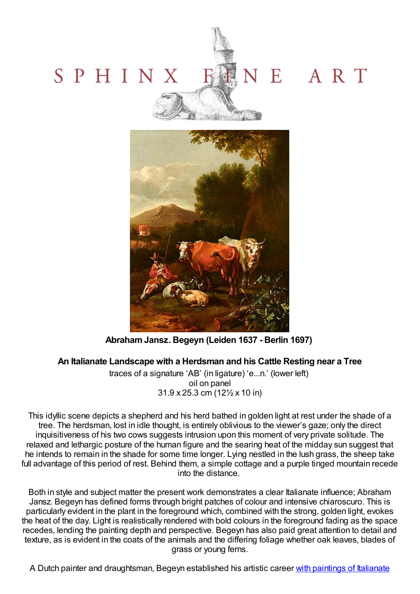



**AbrahamJansz. Begeyn (Leiden 1637 - Berlin 1697)**

## **An Italianate Landscape with a Herdsman and his Cattle Resting near a Tree**

traces of a signature 'AB' (in ligature) 'e...n.' (lower left) oil on panel 31.9 x 25.3 cm (12½ x 10 in)

This idyllic scene depicts a shepherd and his herd bathed in golden light at rest under the shade of a tree. The herdsman, lost in idle thought, is entirely oblivious to the viewer's gaze; only the direct inquisitiveness of his two cows suggests intrusion upon this moment of very private solitude. The relaxed and lethargic posture of the human figure and the searing heat of the midday sun suggest that he intends to remain in the shade for some time longer. Lying nestled in the lush grass, the sheep take full advantage of this period of rest. Behind them, a simple cottage and a purple tinged mountain recede into the distance.

Both in style and subject matter the present work demonstrates a clear Italianate influence; Abraham Jansz. Begeyn has defined forms through bright patches of colour and intensive chiaroscuro. This is particularly evident in the plant in the foreground which, combined with the strong, golden light, evokes the heat of the day. Light is realistically rendered with bold colours in the foreground fading as the space recedes, lending the painting depth and perspective. Begeyn has also paid great attention to detail and texture, as is evident in the coats of the animals and the differing foliage whether oak leaves, blades of grass or young ferns.

A Dutch painter and [draughtsman,](http://www.hermitagemuseum.org/wps/portal/hermitage/digital-collection/01.+Paintings/44004/?lng=en) Begeyn established his artistic career with paintings of Italianate